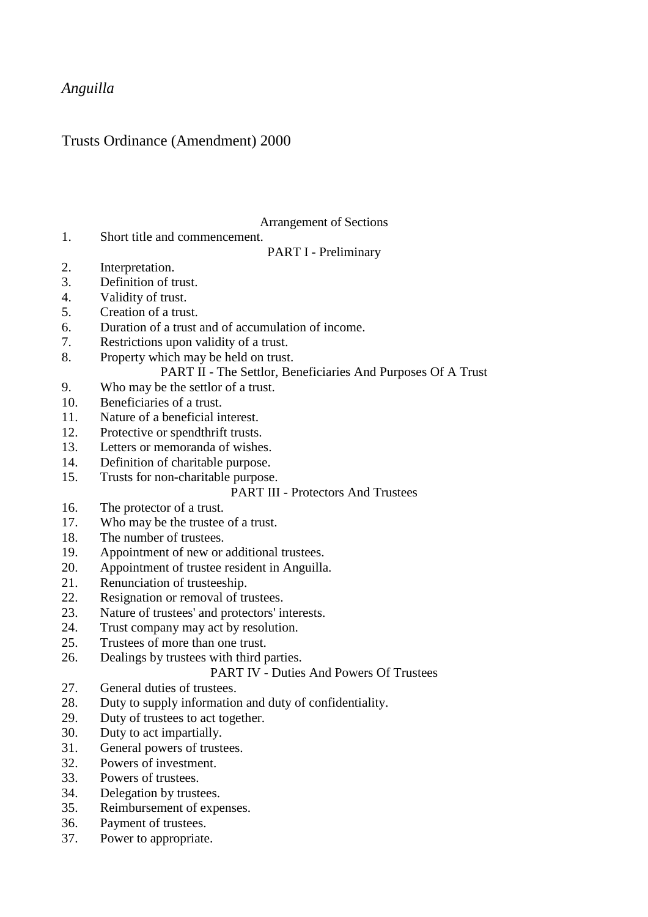*Anguilla* 

Trusts Ordinance (Amendment) 2000

Arrangement of Sections

1. Short title and commencement.

# PART I - Preliminary

- 2. Interpretation.
- 3. Definition of trust.
- 4. Validity of trust.
- 5. Creation of a trust.
- 6. Duration of a trust and of accumulation of income.
- 7. Restrictions upon validity of a trust.
- 8. Property which may be held on trust.

# PART II - The Settlor, Beneficiaries And Purposes Of A Trust

- 9. Who may be the settlor of a trust.
- 10. Beneficiaries of a trust.
- 11. Nature of a beneficial interest.
- 12. Protective or spendthrift trusts.
- 13. Letters or memoranda of wishes.
- 14. Definition of charitable purpose.
- 15. Trusts for non-charitable purpose.

# PART III - Protectors And Trustees

- 16. The protector of a trust.
- 17. Who may be the trustee of a trust.
- 18. The number of trustees.
- 19. Appointment of new or additional trustees.
- 20. Appointment of trustee resident in Anguilla.
- 21. Renunciation of trusteeship.
- 22. Resignation or removal of trustees.
- 23. Nature of trustees' and protectors' interests.
- 24. Trust company may act by resolution.
- 25. Trustees of more than one trust.
- 26. Dealings by trustees with third parties.

# PART IV - Duties And Powers Of Trustees

- 27. General duties of trustees.
- 28. Duty to supply information and duty of confidentiality.
- 29. Duty of trustees to act together.
- 30. Duty to act impartially.
- 31. General powers of trustees.
- 32. Powers of investment.
- 33. Powers of trustees.
- 34. Delegation by trustees.
- 35. Reimbursement of expenses.
- 36. Payment of trustees.
- 37. Power to appropriate.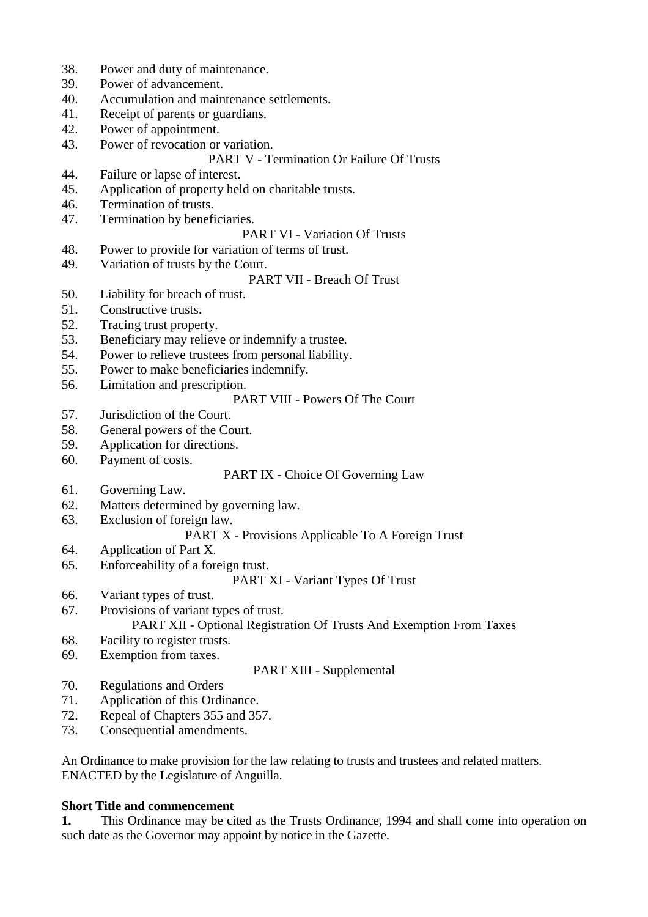- 38. Power and duty of maintenance.
- 39. Power of advancement.
- 40. Accumulation and maintenance settlements.
- 41. Receipt of parents or guardians.
- 42. Power of appointment.
- 43. Power of revocation or variation.

#### PART V - Termination Or Failure Of Trusts

- 44. Failure or lapse of interest.
- 45. Application of property held on charitable trusts.
- 46. Termination of trusts.
- 47. Termination by beneficiaries.

#### PART VI - Variation Of Trusts

- 48. Power to provide for variation of terms of trust.
- 49. Variation of trusts by the Court.
	- PART VII Breach Of Trust
- 50. Liability for breach of trust.
- 51. Constructive trusts.
- 52. Tracing trust property.
- 53. Beneficiary may relieve or indemnify a trustee.
- 54. Power to relieve trustees from personal liability.
- 55. Power to make beneficiaries indemnify.
- 56. Limitation and prescription.
	- PART VIII Powers Of The Court
- 57. Jurisdiction of the Court.
- 58. General powers of the Court.
- 59. Application for directions.
- 60. Payment of costs.

PART IX - Choice Of Governing Law

- 61. Governing Law.
- 62. Matters determined by governing law.
- 63. Exclusion of foreign law.

# PART X - Provisions Applicable To A Foreign Trust

- 64. Application of Part X.
- 65. Enforceability of a foreign trust.

#### PART XI - Variant Types Of Trust

- 66. Variant types of trust.
- 67. Provisions of variant types of trust. PART XII - Optional Registration Of Trusts And Exemption From Taxes
- 68. Facility to register trusts.
- 69. Exemption from taxes.

# PART XIII - Supplemental

- 70. Regulations and Orders
- 71. Application of this Ordinance.
- 72. Repeal of Chapters 355 and 357.
- 73. Consequential amendments.

An Ordinance to make provision for the law relating to trusts and trustees and related matters. ENACTED by the Legislature of Anguilla.

#### **Short Title and commencement**

**1.** This Ordinance may be cited as the Trusts Ordinance, 1994 and shall come into operation on such date as the Governor may appoint by notice in the Gazette.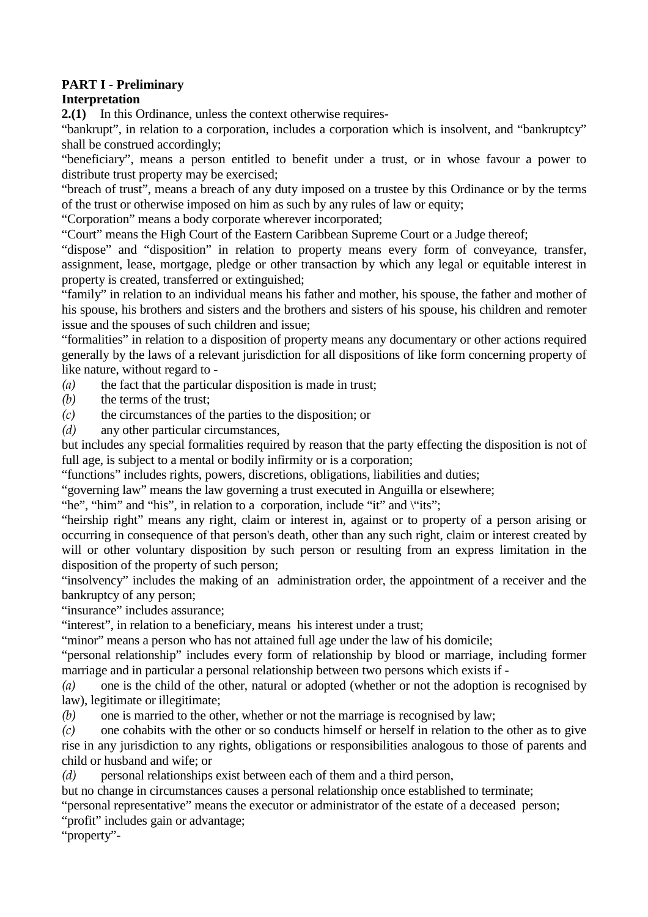# **PART I - Preliminary**

# **Interpretation**

**2.(1)** In this Ordinance, unless the context otherwise requires-

"bankrupt", in relation to a corporation, includes a corporation which is insolvent, and "bankruptcy" shall be construed accordingly;

"beneficiary", means a person entitled to benefit under a trust, or in whose favour a power to distribute trust property may be exercised;

"breach of trust", means a breach of any duty imposed on a trustee by this Ordinance or by the terms of the trust or otherwise imposed on him as such by any rules of law or equity;

"Corporation" means a body corporate wherever incorporated;

"Court" means the High Court of the Eastern Caribbean Supreme Court or a Judge thereof;

"dispose" and "disposition" in relation to property means every form of conveyance, transfer, assignment, lease, mortgage, pledge or other transaction by which any legal or equitable interest in property is created, transferred or extinguished;

"family" in relation to an individual means his father and mother, his spouse, the father and mother of his spouse, his brothers and sisters and the brothers and sisters of his spouse, his children and remoter issue and the spouses of such children and issue;

"formalities" in relation to a disposition of property means any documentary or other actions required generally by the laws of a relevant jurisdiction for all dispositions of like form concerning property of like nature, without regard to -

 $(a)$  the fact that the particular disposition is made in trust;

- (b) the terms of the trust:
- (c) the circumstances of the parties to the disposition; or
- (d) any other particular circumstances,

but includes any special formalities required by reason that the party effecting the disposition is not of full age, is subject to a mental or bodily infirmity or is a corporation;

"functions" includes rights, powers, discretions, obligations, liabilities and duties;

"governing law" means the law governing a trust executed in Anguilla or elsewhere;

"he", "him" and "his", in relation to a corporation, include "it" and \"its";

"heirship right" means any right, claim or interest in, against or to property of a person arising or occurring in consequence of that person's death, other than any such right, claim or interest created by will or other voluntary disposition by such person or resulting from an express limitation in the disposition of the property of such person;

"insolvency" includes the making of an administration order, the appointment of a receiver and the bankruptcy of any person;

"insurance" includes assurance;

"interest", in relation to a beneficiary, means his interest under a trust;

"minor" means a person who has not attained full age under the law of his domicile;

"personal relationship" includes every form of relationship by blood or marriage, including former marriage and in particular a personal relationship between two persons which exists if -

(a) one is the child of the other, natural or adopted (whether or not the adoption is recognised by law), legitimate or illegitimate;

(b) one is married to the other, whether or not the marriage is recognised by law;

(c) one cohabits with the other or so conducts himself or herself in relation to the other as to give rise in any jurisdiction to any rights, obligations or responsibilities analogous to those of parents and child or husband and wife; or

(d) personal relationships exist between each of them and a third person,

but no change in circumstances causes a personal relationship once established to terminate;

"personal representative" means the executor or administrator of the estate of a deceased person;

"profit" includes gain or advantage;

"property"-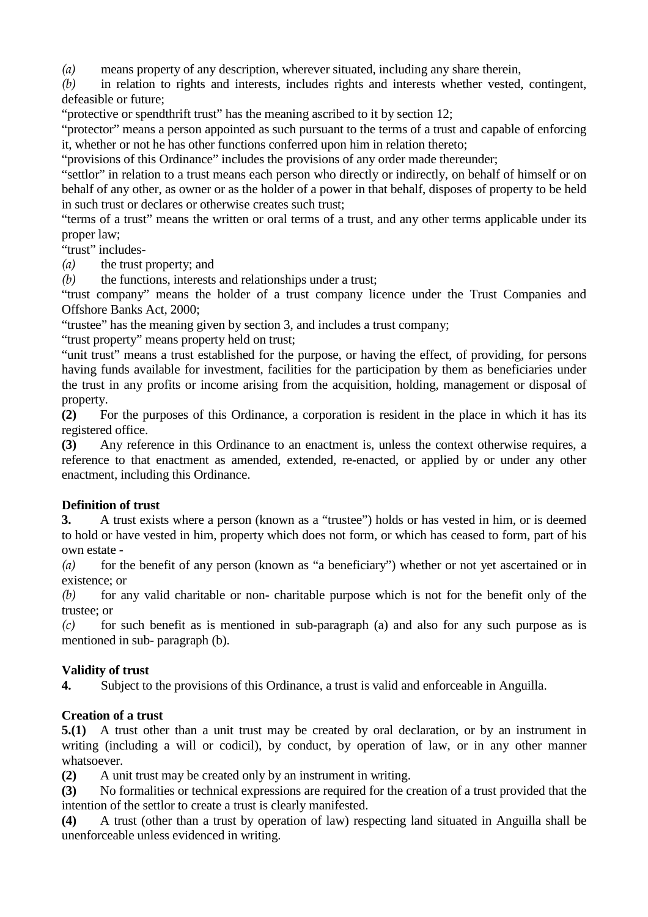(a) means property of any description, wherever situated, including any share therein,

(b) in relation to rights and interests, includes rights and interests whether vested, contingent, defeasible or future;

"protective or spendthrift trust" has the meaning ascribed to it by section 12;

"protector" means a person appointed as such pursuant to the terms of a trust and capable of enforcing it, whether or not he has other functions conferred upon him in relation thereto;

"provisions of this Ordinance" includes the provisions of any order made thereunder;

"settlor" in relation to a trust means each person who directly or indirectly, on behalf of himself or on behalf of any other, as owner or as the holder of a power in that behalf, disposes of property to be held in such trust or declares or otherwise creates such trust;

"terms of a trust" means the written or oral terms of a trust, and any other terms applicable under its proper law;

"trust" includes-

(a) the trust property; and

(b) the functions, interests and relationships under a trust;

"trust company" means the holder of a trust company licence under the Trust Companies and Offshore Banks Act, 2000;

"trustee" has the meaning given by section 3, and includes a trust company;

"trust property" means property held on trust;

"unit trust" means a trust established for the purpose, or having the effect, of providing, for persons having funds available for investment, facilities for the participation by them as beneficiaries under the trust in any profits or income arising from the acquisition, holding, management or disposal of property.

**(2)** For the purposes of this Ordinance, a corporation is resident in the place in which it has its registered office.

**(3)** Any reference in this Ordinance to an enactment is, unless the context otherwise requires, a reference to that enactment as amended, extended, re-enacted, or applied by or under any other enactment, including this Ordinance.

# **Definition of trust**

**3.** A trust exists where a person (known as a "trustee") holds or has vested in him, or is deemed to hold or have vested in him, property which does not form, or which has ceased to form, part of his own estate -

(a) for the benefit of any person (known as "a beneficiary") whether or not yet ascertained or in existence; or

 $(b)$  for any valid charitable or non- charitable purpose which is not for the benefit only of the trustee; or

 $(c)$  for such benefit as is mentioned in sub-paragraph (a) and also for any such purpose as is mentioned in sub- paragraph (b).

# **Validity of trust**

**4.** Subject to the provisions of this Ordinance, a trust is valid and enforceable in Anguilla.

# **Creation of a trust**

**5.(1)** A trust other than a unit trust may be created by oral declaration, or by an instrument in writing (including a will or codicil), by conduct, by operation of law, or in any other manner whatsoever.

**(2)** A unit trust may be created only by an instrument in writing.

**(3)** No formalities or technical expressions are required for the creation of a trust provided that the intention of the settlor to create a trust is clearly manifested.

**(4)** A trust (other than a trust by operation of law) respecting land situated in Anguilla shall be unenforceable unless evidenced in writing.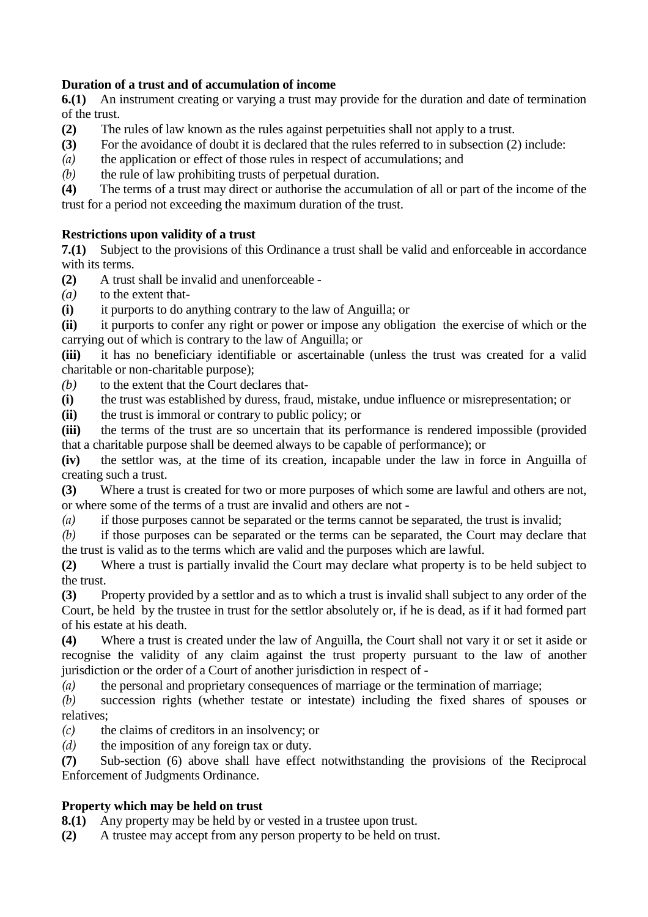# **Duration of a trust and of accumulation of income**

**6.(1)** An instrument creating or varying a trust may provide for the duration and date of termination of the trust.

- **(2)** The rules of law known as the rules against perpetuities shall not apply to a trust.
- **(3)** For the avoidance of doubt it is declared that the rules referred to in subsection (2) include:
- (a) the application or effect of those rules in respect of accumulations; and
- (b) the rule of law prohibiting trusts of perpetual duration.

**(4)** The terms of a trust may direct or authorise the accumulation of all or part of the income of the trust for a period not exceeding the maximum duration of the trust.

# **Restrictions upon validity of a trust**

**7.(1)** Subject to the provisions of this Ordinance a trust shall be valid and enforceable in accordance with its terms.

**(2)** A trust shall be invalid and unenforceable -

- *(a)* to the extent that-
- **(i)** it purports to do anything contrary to the law of Anguilla; or

**(ii)** it purports to confer any right or power or impose any obligation the exercise of which or the carrying out of which is contrary to the law of Anguilla; or

**(iii)** it has no beneficiary identifiable or ascertainable (unless the trust was created for a valid charitable or non-charitable purpose);

*(b)* to the extent that the Court declares that-

**(i)** the trust was established by duress, fraud, mistake, undue influence or misrepresentation; or

**(ii)** the trust is immoral or contrary to public policy; or

**(iii)** the terms of the trust are so uncertain that its performance is rendered impossible (provided that a charitable purpose shall be deemed always to be capable of performance); or

**(iv)** the settlor was, at the time of its creation, incapable under the law in force in Anguilla of creating such a trust.

**(3)** Where a trust is created for two or more purposes of which some are lawful and others are not, or where some of the terms of a trust are invalid and others are not -

(a) if those purposes cannot be separated or the terms cannot be separated, the trust is invalid;

(b) if those purposes can be separated or the terms can be separated, the Court may declare that the trust is valid as to the terms which are valid and the purposes which are lawful.

**(2)** Where a trust is partially invalid the Court may declare what property is to be held subject to the trust.

**(3)** Property provided by a settlor and as to which a trust is invalid shall subject to any order of the Court, be held by the trustee in trust for the settlor absolutely or, if he is dead, as if it had formed part of his estate at his death.

**(4)** Where a trust is created under the law of Anguilla, the Court shall not vary it or set it aside or recognise the validity of any claim against the trust property pursuant to the law of another jurisdiction or the order of a Court of another jurisdiction in respect of -

(a) the personal and proprietary consequences of marriage or the termination of marriage;

(b) succession rights (whether testate or intestate) including the fixed shares of spouses or relatives;

(c) the claims of creditors in an insolvency; or

(d) the imposition of any foreign tax or duty.

**(7)** Sub-section (6) above shall have effect notwithstanding the provisions of the Reciprocal Enforcement of Judgments Ordinance.

# **Property which may be held on trust**

**8.(1)** Any property may be held by or vested in a trustee upon trust.

**(2)** A trustee may accept from any person property to be held on trust.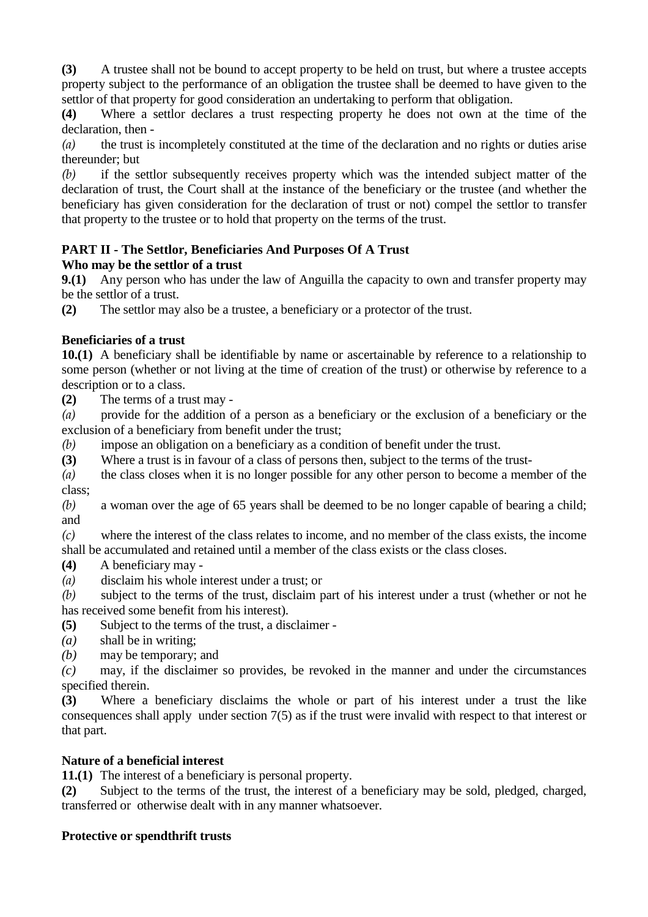**(3)** A trustee shall not be bound to accept property to be held on trust, but where a trustee accepts property subject to the performance of an obligation the trustee shall be deemed to have given to the settlor of that property for good consideration an undertaking to perform that obligation.

**(4)** Where a settlor declares a trust respecting property he does not own at the time of the declaration, then -

(a) the trust is incompletely constituted at the time of the declaration and no rights or duties arise thereunder; but

(b) if the settlor subsequently receives property which was the intended subject matter of the declaration of trust, the Court shall at the instance of the beneficiary or the trustee (and whether the beneficiary has given consideration for the declaration of trust or not) compel the settlor to transfer that property to the trustee or to hold that property on the terms of the trust.

# **PART II - The Settlor, Beneficiaries And Purposes Of A Trust**

# **Who may be the settlor of a trust**

**9.(1)** Any person who has under the law of Anguilla the capacity to own and transfer property may be the settlor of a trust.

**(2)** The settlor may also be a trustee, a beneficiary or a protector of the trust.

# **Beneficiaries of a trust**

**10.(1)** A beneficiary shall be identifiable by name or ascertainable by reference to a relationship to some person (whether or not living at the time of creation of the trust) or otherwise by reference to a description or to a class.

**(2)** The terms of a trust may -

(a) provide for the addition of a person as a beneficiary or the exclusion of a beneficiary or the exclusion of a beneficiary from benefit under the trust;

(b) impose an obligation on a beneficiary as a condition of benefit under the trust.

**(3)** Where a trust is in favour of a class of persons then, subject to the terms of the trust-

(a) the class closes when it is no longer possible for any other person to become a member of the class;

(b) a woman over the age of 65 years shall be deemed to be no longer capable of bearing a child; and

(c) where the interest of the class relates to income, and no member of the class exists, the income shall be accumulated and retained until a member of the class exists or the class closes.

**(4)** A beneficiary may -

(a) disclaim his whole interest under a trust; or

(b) subject to the terms of the trust, disclaim part of his interest under a trust (whether or not he has received some benefit from his interest).

**(5)** Subject to the terms of the trust, a disclaimer -

*(a)* shall be in writing;

*(b)* may be temporary; and

*(c)* may, if the disclaimer so provides, be revoked in the manner and under the circumstances specified therein.

**(3)** Where a beneficiary disclaims the whole or part of his interest under a trust the like consequences shall apply under section 7(5) as if the trust were invalid with respect to that interest or that part.

# **Nature of a beneficial interest**

**11.(1)** The interest of a beneficiary is personal property.

**(2)** Subject to the terms of the trust, the interest of a beneficiary may be sold, pledged, charged, transferred or otherwise dealt with in any manner whatsoever.

# **Protective or spendthrift trusts**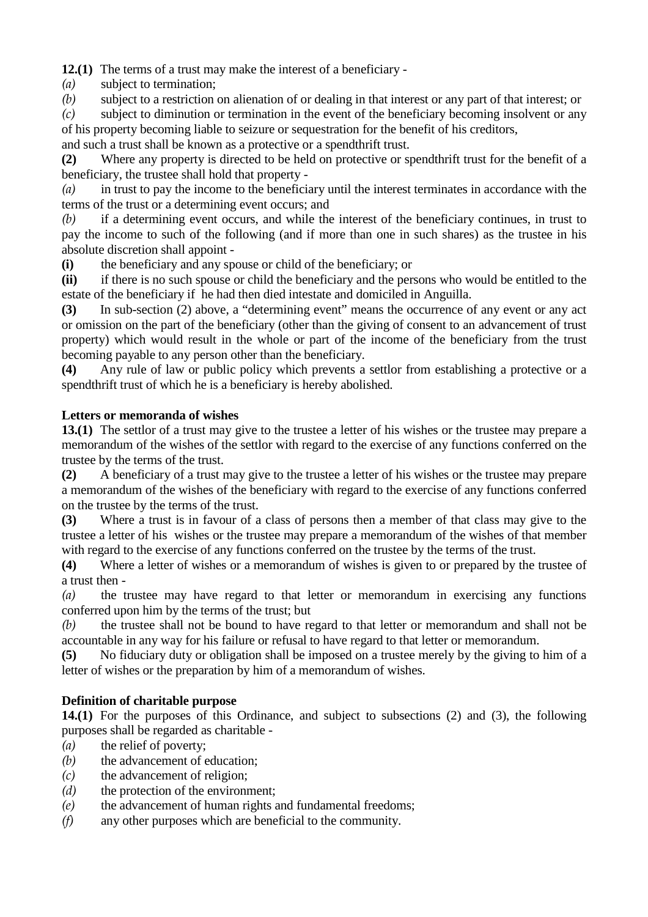**12.(1)** The terms of a trust may make the interest of a beneficiary -

(a) subject to termination;

(b) subject to a restriction on alienation of or dealing in that interest or any part of that interest; or

(c) subject to diminution or termination in the event of the beneficiary becoming insolvent or any of his property becoming liable to seizure or sequestration for the benefit of his creditors,

and such a trust shall be known as a protective or a spendthrift trust.

**(2)** Where any property is directed to be held on protective or spendthrift trust for the benefit of a beneficiary, the trustee shall hold that property -

(a) in trust to pay the income to the beneficiary until the interest terminates in accordance with the terms of the trust or a determining event occurs; and

(b) if a determining event occurs, and while the interest of the beneficiary continues, in trust to pay the income to such of the following (and if more than one in such shares) as the trustee in his absolute discretion shall appoint -

**(i)** the beneficiary and any spouse or child of the beneficiary; or

**(ii)** if there is no such spouse or child the beneficiary and the persons who would be entitled to the estate of the beneficiary if he had then died intestate and domiciled in Anguilla.

**(3)** In sub-section (2) above, a "determining event" means the occurrence of any event or any act or omission on the part of the beneficiary (other than the giving of consent to an advancement of trust property) which would result in the whole or part of the income of the beneficiary from the trust becoming payable to any person other than the beneficiary.

**(4)** Any rule of law or public policy which prevents a settlor from establishing a protective or a spendthrift trust of which he is a beneficiary is hereby abolished.

# **Letters or memoranda of wishes**

**13.(1)** The settlor of a trust may give to the trustee a letter of his wishes or the trustee may prepare a memorandum of the wishes of the settlor with regard to the exercise of any functions conferred on the trustee by the terms of the trust.

**(2)** A beneficiary of a trust may give to the trustee a letter of his wishes or the trustee may prepare a memorandum of the wishes of the beneficiary with regard to the exercise of any functions conferred on the trustee by the terms of the trust.

**(3)** Where a trust is in favour of a class of persons then a member of that class may give to the trustee a letter of his wishes or the trustee may prepare a memorandum of the wishes of that member with regard to the exercise of any functions conferred on the trustee by the terms of the trust.

**(4)** Where a letter of wishes or a memorandum of wishes is given to or prepared by the trustee of a trust then -

(a) the trustee may have regard to that letter or memorandum in exercising any functions conferred upon him by the terms of the trust; but

(b) the trustee shall not be bound to have regard to that letter or memorandum and shall not be accountable in any way for his failure or refusal to have regard to that letter or memorandum.

**(5)** No fiduciary duty or obligation shall be imposed on a trustee merely by the giving to him of a letter of wishes or the preparation by him of a memorandum of wishes.

# **Definition of charitable purpose**

**14.(1)** For the purposes of this Ordinance, and subject to subsections (2) and (3), the following purposes shall be regarded as charitable -

- (a) the relief of poverty;
- (b) the advancement of education;
- (c) the advancement of religion;
- (d) the protection of the environment;
- (e) the advancement of human rights and fundamental freedoms;
- (f) any other purposes which are beneficial to the community.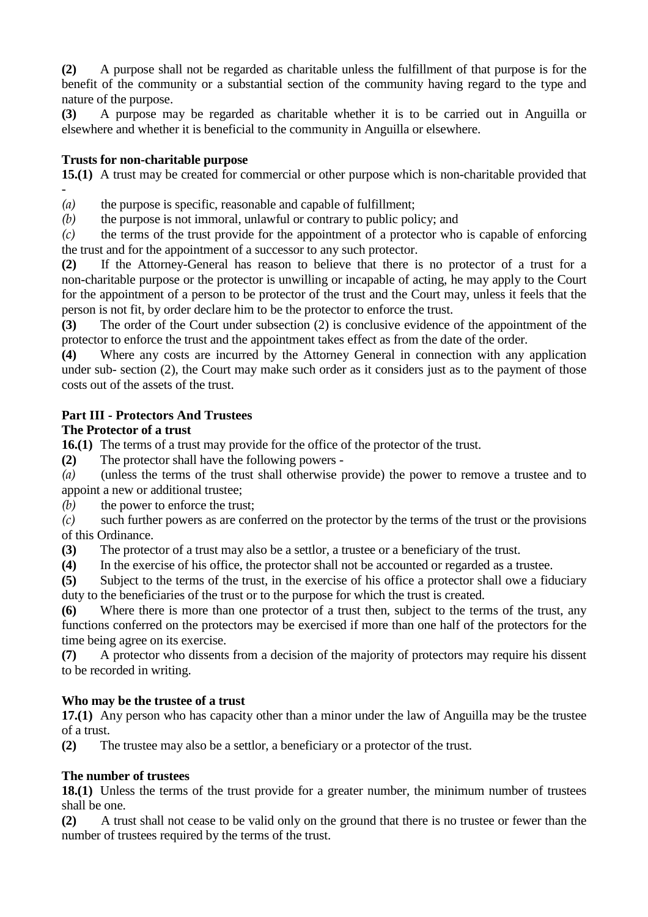**(2)** A purpose shall not be regarded as charitable unless the fulfillment of that purpose is for the benefit of the community or a substantial section of the community having regard to the type and nature of the purpose.

**(3)** A purpose may be regarded as charitable whether it is to be carried out in Anguilla or elsewhere and whether it is beneficial to the community in Anguilla or elsewhere.

# **Trusts for non-charitable purpose**

-

**15.(1)** A trust may be created for commercial or other purpose which is non-charitable provided that

(a) the purpose is specific, reasonable and capable of fulfillment;

 $(b)$  the purpose is not immoral, unlawful or contrary to public policy; and

 $(c)$  the terms of the trust provide for the appointment of a protector who is capable of enforcing the trust and for the appointment of a successor to any such protector.

**(2)** If the Attorney-General has reason to believe that there is no protector of a trust for a non-charitable purpose or the protector is unwilling or incapable of acting, he may apply to the Court for the appointment of a person to be protector of the trust and the Court may, unless it feels that the person is not fit, by order declare him to be the protector to enforce the trust.

**(3)** The order of the Court under subsection (2) is conclusive evidence of the appointment of the protector to enforce the trust and the appointment takes effect as from the date of the order.

**(4)** Where any costs are incurred by the Attorney General in connection with any application under sub- section (2), the Court may make such order as it considers just as to the payment of those costs out of the assets of the trust.

# **Part III - Protectors And Trustees**

# **The Protector of a trust**

**16.(1)** The terms of a trust may provide for the office of the protector of the trust.

**(2)** The protector shall have the following powers -

(a) (unless the terms of the trust shall otherwise provide) the power to remove a trustee and to appoint a new or additional trustee;

(b) the power to enforce the trust;

(c) such further powers as are conferred on the protector by the terms of the trust or the provisions of this Ordinance.

**(3)** The protector of a trust may also be a settlor, a trustee or a beneficiary of the trust.

**(4)** In the exercise of his office, the protector shall not be accounted or regarded as a trustee.

**(5)** Subject to the terms of the trust, in the exercise of his office a protector shall owe a fiduciary duty to the beneficiaries of the trust or to the purpose for which the trust is created.

**(6)** Where there is more than one protector of a trust then, subject to the terms of the trust, any functions conferred on the protectors may be exercised if more than one half of the protectors for the time being agree on its exercise.

**(7)** A protector who dissents from a decision of the majority of protectors may require his dissent to be recorded in writing.

# **Who may be the trustee of a trust**

**17.(1)** Any person who has capacity other than a minor under the law of Anguilla may be the trustee of a trust.

**(2)** The trustee may also be a settlor, a beneficiary or a protector of the trust.

# **The number of trustees**

**18.(1)** Unless the terms of the trust provide for a greater number, the minimum number of trustees shall be one.

**(2)** A trust shall not cease to be valid only on the ground that there is no trustee or fewer than the number of trustees required by the terms of the trust.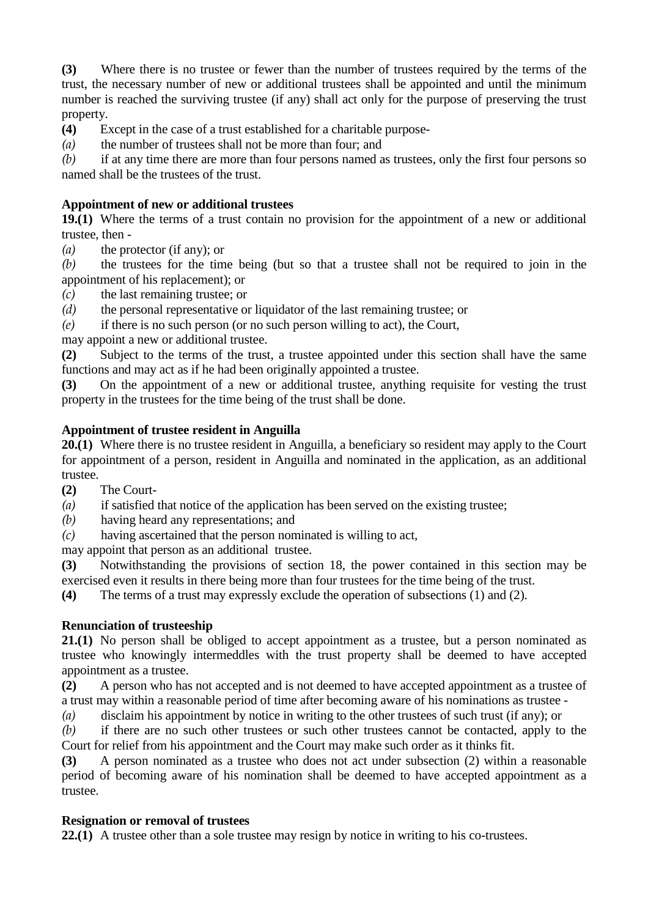**(3)** Where there is no trustee or fewer than the number of trustees required by the terms of the trust, the necessary number of new or additional trustees shall be appointed and until the minimum number is reached the surviving trustee (if any) shall act only for the purpose of preserving the trust property.

**(4)** Except in the case of a trust established for a charitable purpose-

(a) the number of trustees shall not be more than four; and

(b) if at any time there are more than four persons named as trustees, only the first four persons so named shall be the trustees of the trust.

# **Appointment of new or additional trustees**

**19.(1)** Where the terms of a trust contain no provision for the appointment of a new or additional trustee, then -

(a) the protector (if any); or

(b) the trustees for the time being (but so that a trustee shall not be required to join in the appointment of his replacement); or

- (c) the last remaining trustee; or
- (d) the personal representative or liquidator of the last remaining trustee; or

(e) if there is no such person (or no such person willing to act), the Court,

may appoint a new or additional trustee.

**(2)** Subject to the terms of the trust, a trustee appointed under this section shall have the same functions and may act as if he had been originally appointed a trustee.

**(3)** On the appointment of a new or additional trustee, anything requisite for vesting the trust property in the trustees for the time being of the trust shall be done.

# **Appointment of trustee resident in Anguilla**

**20.(1)** Where there is no trustee resident in Anguilla, a beneficiary so resident may apply to the Court for appointment of a person, resident in Anguilla and nominated in the application, as an additional trustee.

**(2)** The Court-

(a) if satisfied that notice of the application has been served on the existing trustee;

(b) having heard any representations; and

(c) having ascertained that the person nominated is willing to act,

may appoint that person as an additional trustee.

**(3)** Notwithstanding the provisions of section 18, the power contained in this section may be exercised even it results in there being more than four trustees for the time being of the trust.

**(4)** The terms of a trust may expressly exclude the operation of subsections (1) and (2).

# **Renunciation of trusteeship**

**21.(1)** No person shall be obliged to accept appointment as a trustee, but a person nominated as trustee who knowingly intermeddles with the trust property shall be deemed to have accepted appointment as a trustee.

**(2)** A person who has not accepted and is not deemed to have accepted appointment as a trustee of a trust may within a reasonable period of time after becoming aware of his nominations as trustee -

(a) disclaim his appointment by notice in writing to the other trustees of such trust (if any); or

(b) if there are no such other trustees or such other trustees cannot be contacted, apply to the Court for relief from his appointment and the Court may make such order as it thinks fit.

**(3)** A person nominated as a trustee who does not act under subsection (2) within a reasonable period of becoming aware of his nomination shall be deemed to have accepted appointment as a trustee.

# **Resignation or removal of trustees**

**22.(1)** A trustee other than a sole trustee may resign by notice in writing to his co-trustees.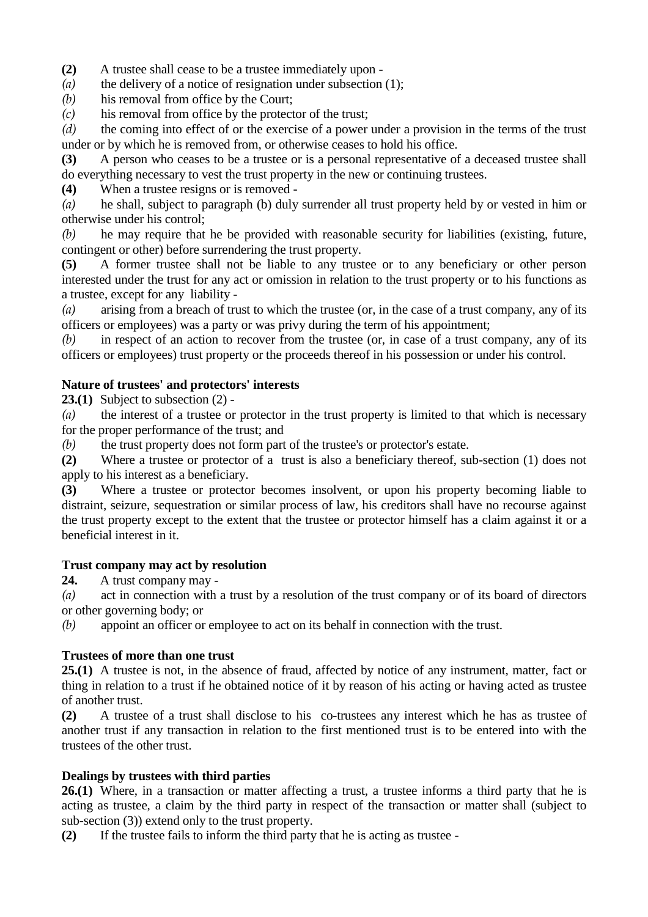**(2)** A trustee shall cease to be a trustee immediately upon -

(a) the delivery of a notice of resignation under subsection  $(1)$ ;

(b) his removal from office by the Court;

 $(c)$  his removal from office by the protector of the trust;

(d) the coming into effect of or the exercise of a power under a provision in the terms of the trust under or by which he is removed from, or otherwise ceases to hold his office.

**(3)** A person who ceases to be a trustee or is a personal representative of a deceased trustee shall do everything necessary to vest the trust property in the new or continuing trustees.

**(4)** When a trustee resigns or is removed -

(a) he shall, subject to paragraph (b) duly surrender all trust property held by or vested in him or otherwise under his control;

 $(b)$  he may require that he be provided with reasonable security for liabilities (existing, future, contingent or other) before surrendering the trust property.

**(5)** A former trustee shall not be liable to any trustee or to any beneficiary or other person interested under the trust for any act or omission in relation to the trust property or to his functions as a trustee, except for any liability -

(a) arising from a breach of trust to which the trustee (or, in the case of a trust company, any of its officers or employees) was a party or was privy during the term of his appointment;

(b) in respect of an action to recover from the trustee (or, in case of a trust company, any of its officers or employees) trust property or the proceeds thereof in his possession or under his control.

# **Nature of trustees' and protectors' interests**

**23.(1)** Subject to subsection (2) -

(a) the interest of a trustee or protector in the trust property is limited to that which is necessary for the proper performance of the trust; and

(b) the trust property does not form part of the trustee's or protector's estate.

**(2)** Where a trustee or protector of a trust is also a beneficiary thereof, sub-section (1) does not apply to his interest as a beneficiary.

**(3)** Where a trustee or protector becomes insolvent, or upon his property becoming liable to distraint, seizure, sequestration or similar process of law, his creditors shall have no recourse against the trust property except to the extent that the trustee or protector himself has a claim against it or a beneficial interest in it.

# **Trust company may act by resolution**

**24.** A trust company may -

(a) act in connection with a trust by a resolution of the trust company or of its board of directors or other governing body; or

(b) appoint an officer or employee to act on its behalf in connection with the trust.

# **Trustees of more than one trust**

**25.(1)** A trustee is not, in the absence of fraud, affected by notice of any instrument, matter, fact or thing in relation to a trust if he obtained notice of it by reason of his acting or having acted as trustee of another trust.

**(2)** A trustee of a trust shall disclose to his co-trustees any interest which he has as trustee of another trust if any transaction in relation to the first mentioned trust is to be entered into with the trustees of the other trust.

# **Dealings by trustees with third parties**

**26.(1)** Where, in a transaction or matter affecting a trust, a trustee informs a third party that he is acting as trustee, a claim by the third party in respect of the transaction or matter shall (subject to sub-section (3)) extend only to the trust property.

**(2)** If the trustee fails to inform the third party that he is acting as trustee -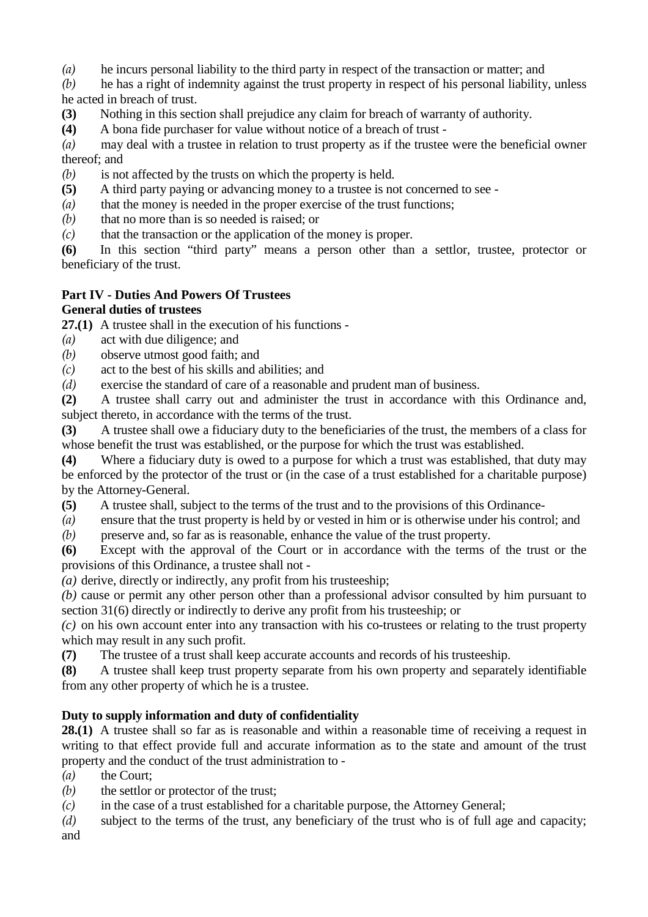(a) he incurs personal liability to the third party in respect of the transaction or matter; and

(b) he has a right of indemnity against the trust property in respect of his personal liability, unless he acted in breach of trust.

**(3)** Nothing in this section shall prejudice any claim for breach of warranty of authority.

**(4)** A bona fide purchaser for value without notice of a breach of trust -

(a) may deal with a trustee in relation to trust property as if the trustee were the beneficial owner thereof; and

(b) is not affected by the trusts on which the property is held.

**(5)** A third party paying or advancing money to a trustee is not concerned to see -

(a) that the money is needed in the proper exercise of the trust functions;

(b) that no more than is so needed is raised; or  $(c)$  that the transaction or the application of the

that the transaction or the application of the money is proper.

**(6)** In this section "third party" means a person other than a settlor, trustee, protector or beneficiary of the trust.

# **Part IV - Duties And Powers Of Trustees**

# **General duties of trustees**

**27.(1)** A trustee shall in the execution of his functions -

- (a) act with due diligence; and
- (b) observe utmost good faith; and

(c) act to the best of his skills and abilities; and

(d) exercise the standard of care of a reasonable and prudent man of business.

**(2)** A trustee shall carry out and administer the trust in accordance with this Ordinance and, subject thereto, in accordance with the terms of the trust.

**(3)** A trustee shall owe a fiduciary duty to the beneficiaries of the trust, the members of a class for whose benefit the trust was established, or the purpose for which the trust was established.

**(4)** Where a fiduciary duty is owed to a purpose for which a trust was established, that duty may be enforced by the protector of the trust or (in the case of a trust established for a charitable purpose) by the Attorney-General.

**(5)** A trustee shall, subject to the terms of the trust and to the provisions of this Ordinance-

(a) ensure that the trust property is held by or vested in him or is otherwise under his control; and

(b) preserve and, so far as is reasonable, enhance the value of the trust property.

**(6)** Except with the approval of the Court or in accordance with the terms of the trust or the provisions of this Ordinance, a trustee shall not -

*(a)* derive, directly or indirectly, any profit from his trusteeship;

*(b)* cause or permit any other person other than a professional advisor consulted by him pursuant to section 31(6) directly or indirectly to derive any profit from his trusteeship; or

*(c)* on his own account enter into any transaction with his co-trustees or relating to the trust property which may result in any such profit.

**(7)** The trustee of a trust shall keep accurate accounts and records of his trusteeship.

**(8)** A trustee shall keep trust property separate from his own property and separately identifiable from any other property of which he is a trustee.

# **Duty to supply information and duty of confidentiality**

**28.(1)** A trustee shall so far as is reasonable and within a reasonable time of receiving a request in writing to that effect provide full and accurate information as to the state and amount of the trust property and the conduct of the trust administration to -

(a) the Court;

(b) the settlor or protector of the trust;

 $(c)$  in the case of a trust established for a charitable purpose, the Attorney General;

(d) subject to the terms of the trust, any beneficiary of the trust who is of full age and capacity; and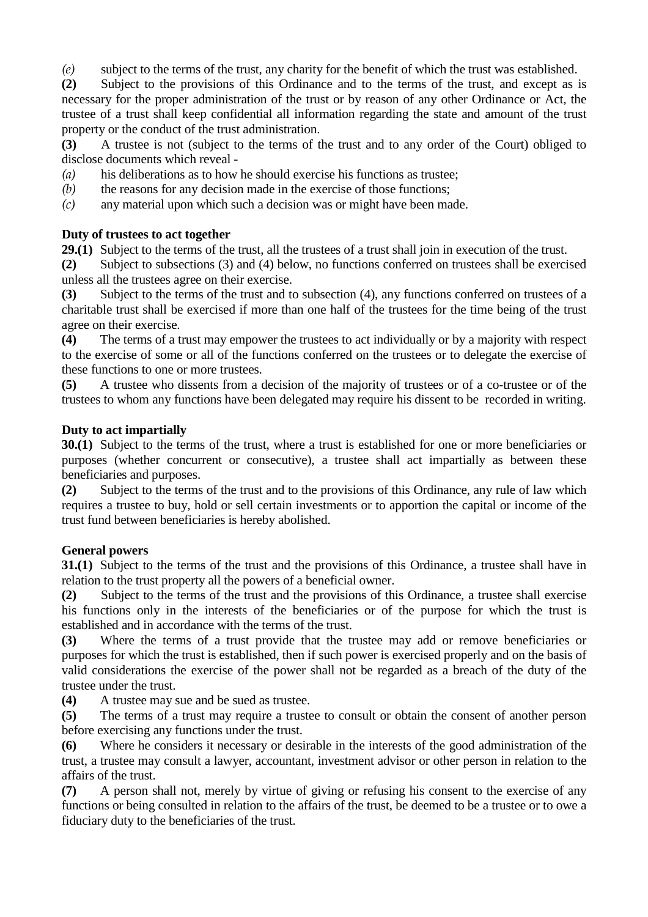(e) subject to the terms of the trust, any charity for the benefit of which the trust was established.

**(2)** Subject to the provisions of this Ordinance and to the terms of the trust, and except as is necessary for the proper administration of the trust or by reason of any other Ordinance or Act, the trustee of a trust shall keep confidential all information regarding the state and amount of the trust property or the conduct of the trust administration.

**(3)** A trustee is not (subject to the terms of the trust and to any order of the Court) obliged to disclose documents which reveal -

(a) his deliberations as to how he should exercise his functions as trustee;

- (b) the reasons for any decision made in the exercise of those functions;
- (c) any material upon which such a decision was or might have been made.

#### **Duty of trustees to act together**

**29.(1)** Subject to the terms of the trust, all the trustees of a trust shall join in execution of the trust.

**(2)** Subject to subsections (3) and (4) below, no functions conferred on trustees shall be exercised unless all the trustees agree on their exercise.

**(3)** Subject to the terms of the trust and to subsection (4), any functions conferred on trustees of a charitable trust shall be exercised if more than one half of the trustees for the time being of the trust agree on their exercise.

**(4)** The terms of a trust may empower the trustees to act individually or by a majority with respect to the exercise of some or all of the functions conferred on the trustees or to delegate the exercise of these functions to one or more trustees.

**(5)** A trustee who dissents from a decision of the majority of trustees or of a co-trustee or of the trustees to whom any functions have been delegated may require his dissent to be recorded in writing.

#### **Duty to act impartially**

**30.(1)** Subject to the terms of the trust, where a trust is established for one or more beneficiaries or purposes (whether concurrent or consecutive), a trustee shall act impartially as between these beneficiaries and purposes.

**(2)** Subject to the terms of the trust and to the provisions of this Ordinance, any rule of law which requires a trustee to buy, hold or sell certain investments or to apportion the capital or income of the trust fund between beneficiaries is hereby abolished.

# **General powers**

**31.(1)** Subject to the terms of the trust and the provisions of this Ordinance, a trustee shall have in relation to the trust property all the powers of a beneficial owner.

**(2)** Subject to the terms of the trust and the provisions of this Ordinance, a trustee shall exercise his functions only in the interests of the beneficiaries or of the purpose for which the trust is established and in accordance with the terms of the trust.

**(3)** Where the terms of a trust provide that the trustee may add or remove beneficiaries or purposes for which the trust is established, then if such power is exercised properly and on the basis of valid considerations the exercise of the power shall not be regarded as a breach of the duty of the trustee under the trust.

**(4)** A trustee may sue and be sued as trustee.

**(5)** The terms of a trust may require a trustee to consult or obtain the consent of another person before exercising any functions under the trust.

**(6)** Where he considers it necessary or desirable in the interests of the good administration of the trust, a trustee may consult a lawyer, accountant, investment advisor or other person in relation to the affairs of the trust.

**(7)** A person shall not, merely by virtue of giving or refusing his consent to the exercise of any functions or being consulted in relation to the affairs of the trust, be deemed to be a trustee or to owe a fiduciary duty to the beneficiaries of the trust.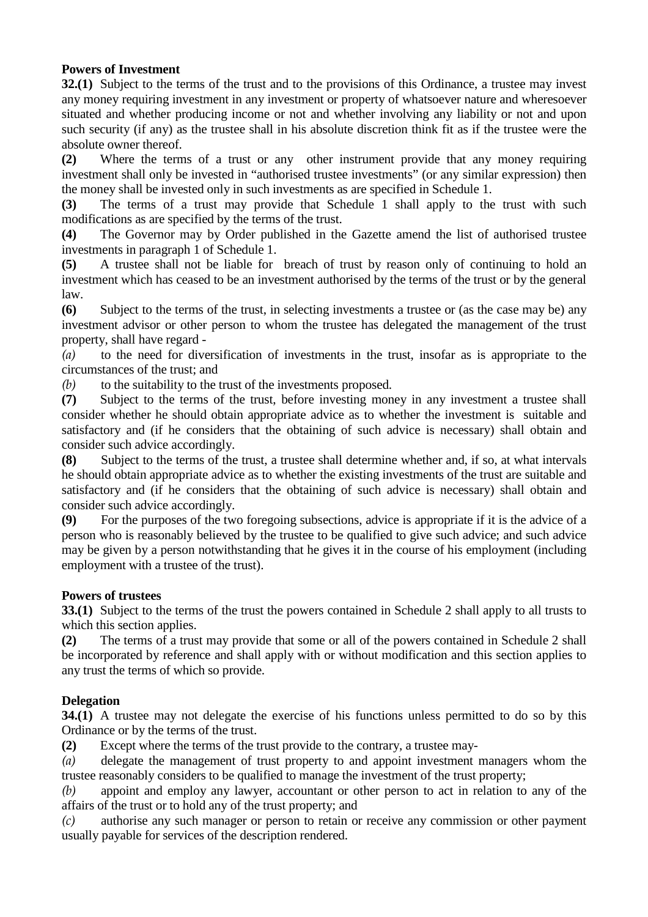# **Powers of Investment**

**32.(1)** Subject to the terms of the trust and to the provisions of this Ordinance, a trustee may invest any money requiring investment in any investment or property of whatsoever nature and wheresoever situated and whether producing income or not and whether involving any liability or not and upon such security (if any) as the trustee shall in his absolute discretion think fit as if the trustee were the absolute owner thereof.

**(2)** Where the terms of a trust or any other instrument provide that any money requiring investment shall only be invested in "authorised trustee investments" (or any similar expression) then the money shall be invested only in such investments as are specified in Schedule 1.

**(3)** The terms of a trust may provide that Schedule 1 shall apply to the trust with such modifications as are specified by the terms of the trust.

**(4)** The Governor may by Order published in the Gazette amend the list of authorised trustee investments in paragraph 1 of Schedule 1.

**(5)** A trustee shall not be liable for breach of trust by reason only of continuing to hold an investment which has ceased to be an investment authorised by the terms of the trust or by the general law.

**(6)** Subject to the terms of the trust, in selecting investments a trustee or (as the case may be) any investment advisor or other person to whom the trustee has delegated the management of the trust property, shall have regard -

(a) to the need for diversification of investments in the trust, insofar as is appropriate to the circumstances of the trust; and

(b) to the suitability to the trust of the investments proposed.

**(7)** Subject to the terms of the trust, before investing money in any investment a trustee shall consider whether he should obtain appropriate advice as to whether the investment is suitable and satisfactory and (if he considers that the obtaining of such advice is necessary) shall obtain and consider such advice accordingly.

**(8)** Subject to the terms of the trust, a trustee shall determine whether and, if so, at what intervals he should obtain appropriate advice as to whether the existing investments of the trust are suitable and satisfactory and (if he considers that the obtaining of such advice is necessary) shall obtain and consider such advice accordingly.

**(9)** For the purposes of the two foregoing subsections, advice is appropriate if it is the advice of a person who is reasonably believed by the trustee to be qualified to give such advice; and such advice may be given by a person notwithstanding that he gives it in the course of his employment (including employment with a trustee of the trust).

# **Powers of trustees**

**33.(1)** Subject to the terms of the trust the powers contained in Schedule 2 shall apply to all trusts to which this section applies.

**(2)** The terms of a trust may provide that some or all of the powers contained in Schedule 2 shall be incorporated by reference and shall apply with or without modification and this section applies to any trust the terms of which so provide.

# **Delegation**

**34.(1)** A trustee may not delegate the exercise of his functions unless permitted to do so by this Ordinance or by the terms of the trust.

**(2)** Except where the terms of the trust provide to the contrary, a trustee may-

(a) delegate the management of trust property to and appoint investment managers whom the trustee reasonably considers to be qualified to manage the investment of the trust property;

(b) appoint and employ any lawyer, accountant or other person to act in relation to any of the affairs of the trust or to hold any of the trust property; and

(c) authorise any such manager or person to retain or receive any commission or other payment usually payable for services of the description rendered.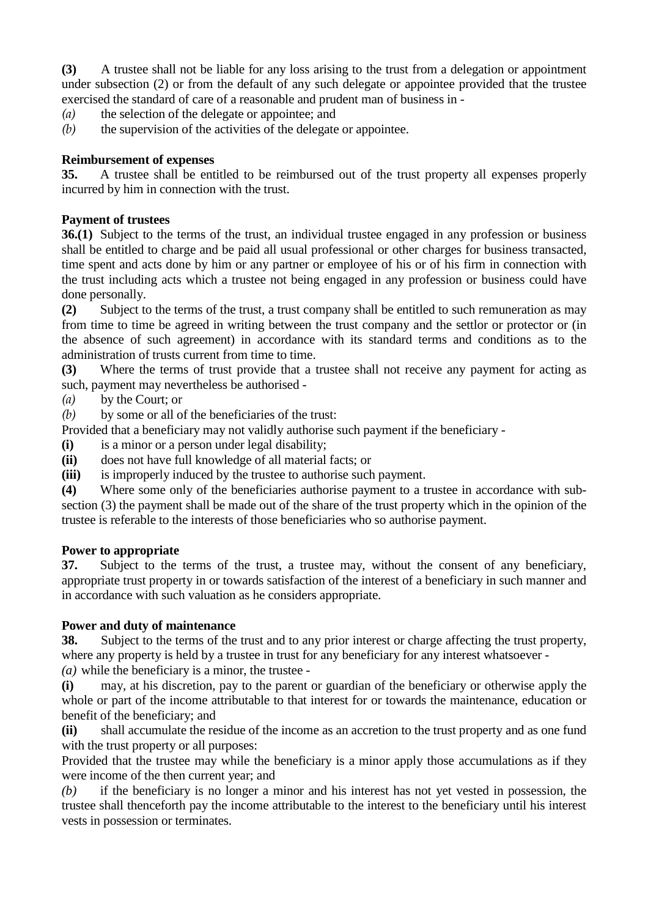**(3)** A trustee shall not be liable for any loss arising to the trust from a delegation or appointment under subsection (2) or from the default of any such delegate or appointee provided that the trustee exercised the standard of care of a reasonable and prudent man of business in -

(a) the selection of the delegate or appointee; and

(b) the supervision of the activities of the delegate or appointee.

# **Reimbursement of expenses**

**35.** A trustee shall be entitled to be reimbursed out of the trust property all expenses properly incurred by him in connection with the trust.

# **Payment of trustees**

**36.(1)** Subject to the terms of the trust, an individual trustee engaged in any profession or business shall be entitled to charge and be paid all usual professional or other charges for business transacted, time spent and acts done by him or any partner or employee of his or of his firm in connection with the trust including acts which a trustee not being engaged in any profession or business could have done personally.

**(2)** Subject to the terms of the trust, a trust company shall be entitled to such remuneration as may from time to time be agreed in writing between the trust company and the settlor or protector or (in the absence of such agreement) in accordance with its standard terms and conditions as to the administration of trusts current from time to time.

**(3)** Where the terms of trust provide that a trustee shall not receive any payment for acting as such, payment may nevertheless be authorised -

(a) by the Court; or

 $(b)$  by some or all of the beneficiaries of the trust:

Provided that a beneficiary may not validly authorise such payment if the beneficiary -

**(i)** is a minor or a person under legal disability;

**(ii)** does not have full knowledge of all material facts; or

**(iii)** is improperly induced by the trustee to authorise such payment.

**(4)** Where some only of the beneficiaries authorise payment to a trustee in accordance with subsection (3) the payment shall be made out of the share of the trust property which in the opinion of the trustee is referable to the interests of those beneficiaries who so authorise payment.

# **Power to appropriate**

**37.** Subject to the terms of the trust, a trustee may, without the consent of any beneficiary, appropriate trust property in or towards satisfaction of the interest of a beneficiary in such manner and in accordance with such valuation as he considers appropriate.

# **Power and duty of maintenance**

**38.** Subject to the terms of the trust and to any prior interest or charge affecting the trust property, where any property is held by a trustee in trust for any beneficiary for any interest whatsoever -

*(a)* while the beneficiary is a minor, the trustee -

**(i)** may, at his discretion, pay to the parent or guardian of the beneficiary or otherwise apply the whole or part of the income attributable to that interest for or towards the maintenance, education or benefit of the beneficiary; and

**(ii)** shall accumulate the residue of the income as an accretion to the trust property and as one fund with the trust property or all purposes:

Provided that the trustee may while the beneficiary is a minor apply those accumulations as if they were income of the then current year; and

*(b)* if the beneficiary is no longer a minor and his interest has not yet vested in possession, the trustee shall thenceforth pay the income attributable to the interest to the beneficiary until his interest vests in possession or terminates.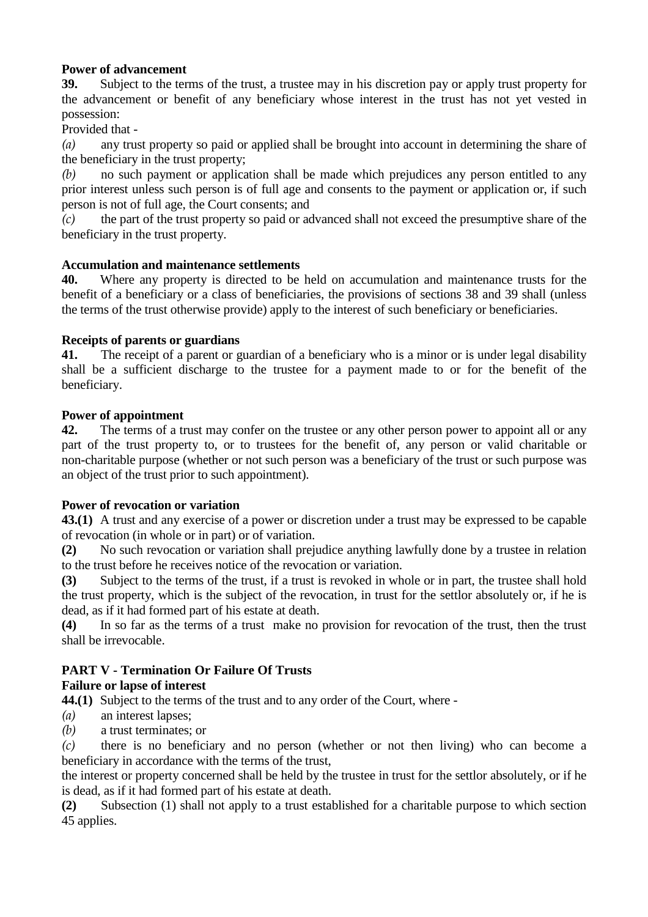# **Power of advancement**

**39.** Subject to the terms of the trust, a trustee may in his discretion pay or apply trust property for the advancement or benefit of any beneficiary whose interest in the trust has not yet vested in possession:

Provided that -

(a) any trust property so paid or applied shall be brought into account in determining the share of the beneficiary in the trust property;

(b) no such payment or application shall be made which prejudices any person entitled to any prior interest unless such person is of full age and consents to the payment or application or, if such person is not of full age, the Court consents; and

(c) the part of the trust property so paid or advanced shall not exceed the presumptive share of the beneficiary in the trust property.

#### **Accumulation and maintenance settlements**

**40.** Where any property is directed to be held on accumulation and maintenance trusts for the benefit of a beneficiary or a class of beneficiaries, the provisions of sections 38 and 39 shall (unless the terms of the trust otherwise provide) apply to the interest of such beneficiary or beneficiaries.

#### **Receipts of parents or guardians**

**41.** The receipt of a parent or guardian of a beneficiary who is a minor or is under legal disability shall be a sufficient discharge to the trustee for a payment made to or for the benefit of the beneficiary.

#### **Power of appointment**

**42.** The terms of a trust may confer on the trustee or any other person power to appoint all or any part of the trust property to, or to trustees for the benefit of, any person or valid charitable or non-charitable purpose (whether or not such person was a beneficiary of the trust or such purpose was an object of the trust prior to such appointment).

#### **Power of revocation or variation**

**43.(1)** A trust and any exercise of a power or discretion under a trust may be expressed to be capable of revocation (in whole or in part) or of variation.

**(2)** No such revocation or variation shall prejudice anything lawfully done by a trustee in relation to the trust before he receives notice of the revocation or variation.

**(3)** Subject to the terms of the trust, if a trust is revoked in whole or in part, the trustee shall hold the trust property, which is the subject of the revocation, in trust for the settlor absolutely or, if he is dead, as if it had formed part of his estate at death.

**(4)** In so far as the terms of a trust make no provision for revocation of the trust, then the trust shall be irrevocable.

# **PART V - Termination Or Failure Of Trusts**

# **Failure or lapse of interest**

**44.(1)** Subject to the terms of the trust and to any order of the Court, where -

- (a) an interest lapses;
- (b) a trust terminates; or

(c) there is no beneficiary and no person (whether or not then living) who can become a beneficiary in accordance with the terms of the trust,

the interest or property concerned shall be held by the trustee in trust for the settlor absolutely, or if he is dead, as if it had formed part of his estate at death.

**(2)** Subsection (1) shall not apply to a trust established for a charitable purpose to which section 45 applies.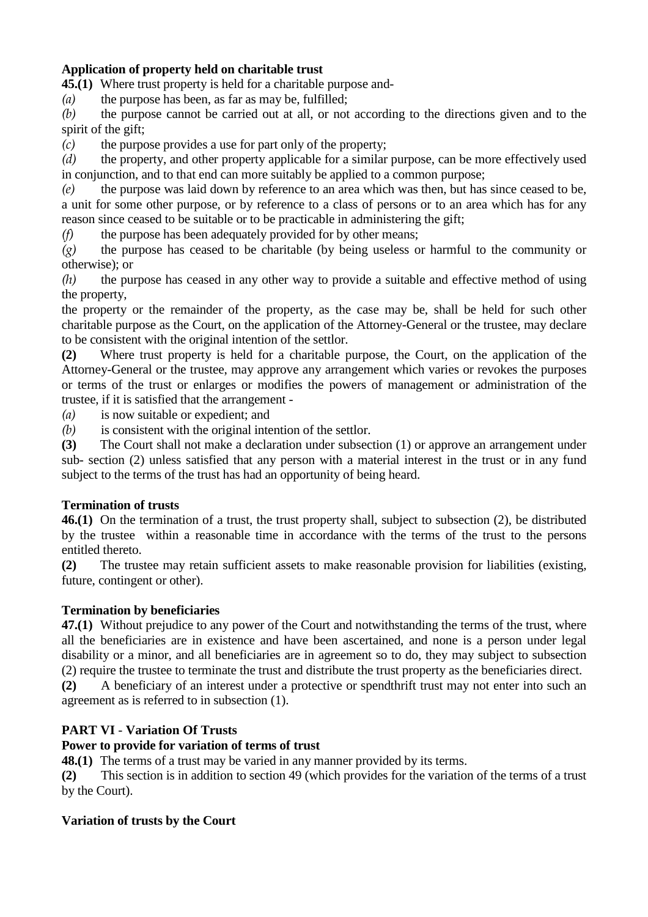### **Application of property held on charitable trust**

**45.(1)** Where trust property is held for a charitable purpose and-

(a) the purpose has been, as far as may be, fulfilled;<br>(b) the purpose cannot be carried out at all, or not

(b) the purpose cannot be carried out at all, or not according to the directions given and to the spirit of the gift;

(c) the purpose provides a use for part only of the property;

(d) the property, and other property applicable for a similar purpose, can be more effectively used in conjunction, and to that end can more suitably be applied to a common purpose;

 $(e)$  the purpose was laid down by reference to an area which was then, but has since ceased to be, a unit for some other purpose, or by reference to a class of persons or to an area which has for any reason since ceased to be suitable or to be practicable in administering the gift;

 $(f)$  the purpose has been adequately provided for by other means;

 $(g)$  the purpose has ceased to be charitable (by being useless or harmful to the community or otherwise); or

 $(h)$  the purpose has ceased in any other way to provide a suitable and effective method of using the property,

the property or the remainder of the property, as the case may be, shall be held for such other charitable purpose as the Court, on the application of the Attorney-General or the trustee, may declare to be consistent with the original intention of the settlor.

**(2)** Where trust property is held for a charitable purpose, the Court, on the application of the Attorney-General or the trustee, may approve any arrangement which varies or revokes the purposes or terms of the trust or enlarges or modifies the powers of management or administration of the trustee, if it is satisfied that the arrangement -

(a) is now suitable or expedient; and

(b) is consistent with the original intention of the settlor.

**(3)** The Court shall not make a declaration under subsection (1) or approve an arrangement under sub- section (2) unless satisfied that any person with a material interest in the trust or in any fund subject to the terms of the trust has had an opportunity of being heard.

# **Termination of trusts**

**46.(1)** On the termination of a trust, the trust property shall, subject to subsection (2), be distributed by the trustee within a reasonable time in accordance with the terms of the trust to the persons entitled thereto.

**(2)** The trustee may retain sufficient assets to make reasonable provision for liabilities (existing, future, contingent or other).

# **Termination by beneficiaries**

**47.(1)** Without prejudice to any power of the Court and notwithstanding the terms of the trust, where all the beneficiaries are in existence and have been ascertained, and none is a person under legal disability or a minor, and all beneficiaries are in agreement so to do, they may subject to subsection (2) require the trustee to terminate the trust and distribute the trust property as the beneficiaries direct.

**(2)** A beneficiary of an interest under a protective or spendthrift trust may not enter into such an agreement as is referred to in subsection (1).

# **PART VI** - **Variation Of Trusts**

# **Power to provide for variation of terms of trust**

**48.(1)** The terms of a trust may be varied in any manner provided by its terms.

**(2)** This section is in addition to section 49 (which provides for the variation of the terms of a trust by the Court).

#### **Variation of trusts by the Court**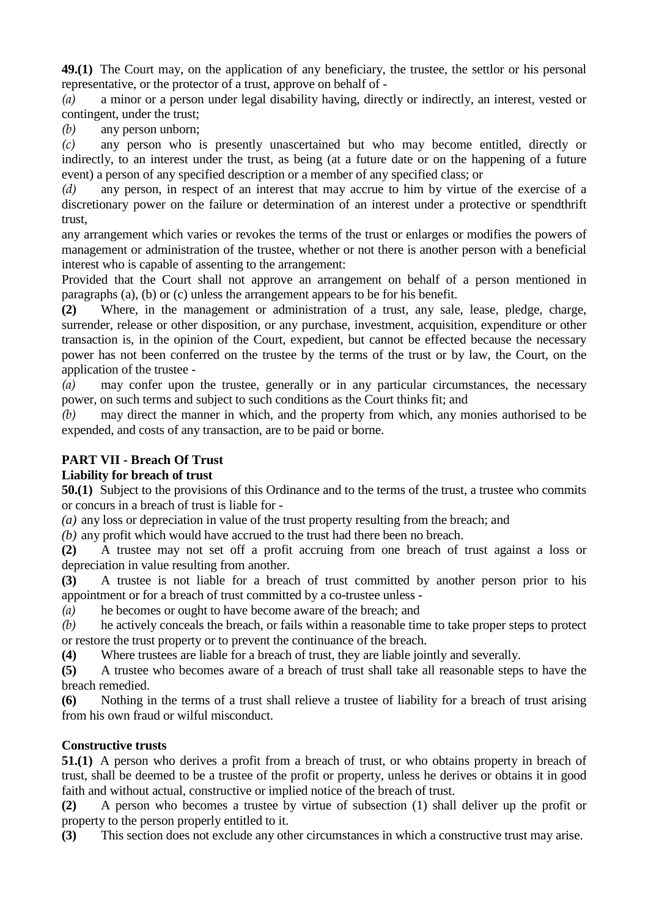**49.(1)** The Court may, on the application of any beneficiary, the trustee, the settlor or his personal representative, or the protector of a trust, approve on behalf of -

(a) a minor or a person under legal disability having, directly or indirectly, an interest, vested or contingent, under the trust;

(b) any person unborn;

(c) any person who is presently unascertained but who may become entitled, directly or indirectly, to an interest under the trust, as being (at a future date or on the happening of a future event) a person of any specified description or a member of any specified class; or

(d) any person, in respect of an interest that may accrue to him by virtue of the exercise of a discretionary power on the failure or determination of an interest under a protective or spendthrift trust,

any arrangement which varies or revokes the terms of the trust or enlarges or modifies the powers of management or administration of the trustee, whether or not there is another person with a beneficial interest who is capable of assenting to the arrangement:

Provided that the Court shall not approve an arrangement on behalf of a person mentioned in paragraphs (a), (b) or (c) unless the arrangement appears to be for his benefit.

**(2)** Where, in the management or administration of a trust, any sale, lease, pledge, charge, surrender, release or other disposition, or any purchase, investment, acquisition, expenditure or other transaction is, in the opinion of the Court, expedient, but cannot be effected because the necessary power has not been conferred on the trustee by the terms of the trust or by law, the Court, on the application of the trustee -

(a) may confer upon the trustee, generally or in any particular circumstances, the necessary power, on such terms and subject to such conditions as the Court thinks fit; and

(b) may direct the manner in which, and the property from which, any monies authorised to be expended, and costs of any transaction, are to be paid or borne.

# **PART VII - Breach Of Trust**

# **Liability for breach of trust**

**50.(1)** Subject to the provisions of this Ordinance and to the terms of the trust, a trustee who commits or concurs in a breach of trust is liable for -

*(a)* any loss or depreciation in value of the trust property resulting from the breach; and

*(b)* any profit which would have accrued to the trust had there been no breach.

**(2)** A trustee may not set off a profit accruing from one breach of trust against a loss or depreciation in value resulting from another.

**(3)** A trustee is not liable for a breach of trust committed by another person prior to his appointment or for a breach of trust committed by a co-trustee unless -

(a) he becomes or ought to have become aware of the breach; and

(b) he actively conceals the breach, or fails within a reasonable time to take proper steps to protect or restore the trust property or to prevent the continuance of the breach.

**(4)** Where trustees are liable for a breach of trust, they are liable jointly and severally.

**(5)** A trustee who becomes aware of a breach of trust shall take all reasonable steps to have the breach remedied.

**(6)** Nothing in the terms of a trust shall relieve a trustee of liability for a breach of trust arising from his own fraud or wilful misconduct.

# **Constructive trusts**

**51.(1)** A person who derives a profit from a breach of trust, or who obtains property in breach of trust, shall be deemed to be a trustee of the profit or property, unless he derives or obtains it in good faith and without actual, constructive or implied notice of the breach of trust.

**(2)** A person who becomes a trustee by virtue of subsection (1) shall deliver up the profit or property to the person properly entitled to it.

**(3)** This section does not exclude any other circumstances in which a constructive trust may arise.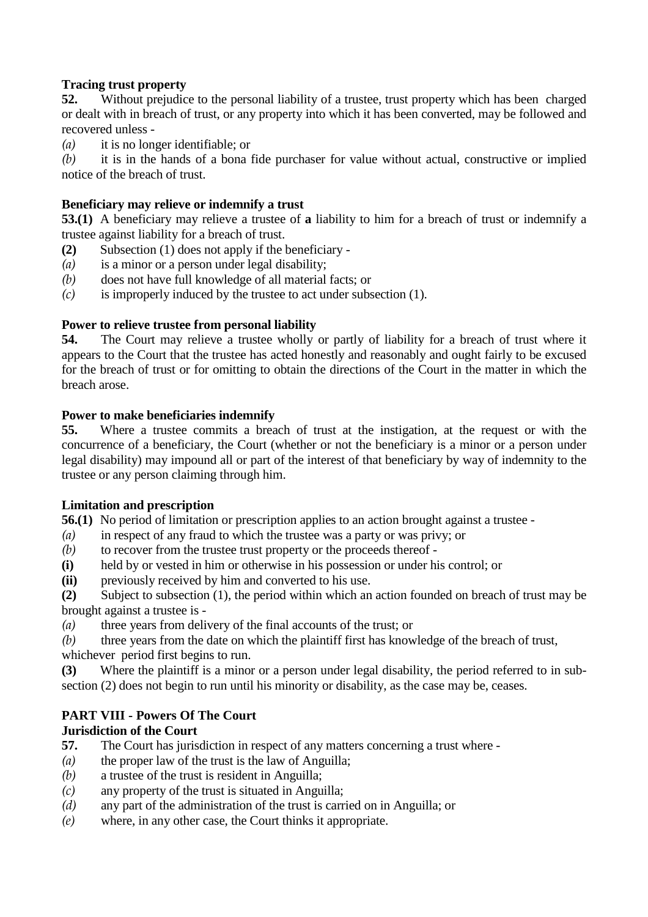# **Tracing trust property**

**52.** Without prejudice to the personal liability of a trustee, trust property which has been charged or dealt with in breach of trust, or any property into which it has been converted, may be followed and recovered unless -

(a) it is no longer identifiable; or

(b) it is in the hands of a bona fide purchaser for value without actual, constructive or implied notice of the breach of trust.

# **Beneficiary may relieve or indemnify a trust**

**53.(1)** A beneficiary may relieve a trustee of **a** liability to him for a breach of trust or indemnify a trustee against liability for a breach of trust.

- **(2)** Subsection (1) does not apply if the beneficiary -
- (a) is a minor or a person under legal disability;
- (b) does not have full knowledge of all material facts; or
- $(c)$  is improperly induced by the trustee to act under subsection (1).

# **Power to relieve trustee from personal liability**

**54.** The Court may relieve a trustee wholly or partly of liability for a breach of trust where it appears to the Court that the trustee has acted honestly and reasonably and ought fairly to be excused for the breach of trust or for omitting to obtain the directions of the Court in the matter in which the breach arose.

# **Power to make beneficiaries indemnify**

**55.** Where a trustee commits a breach of trust at the instigation, at the request or with the concurrence of a beneficiary, the Court (whether or not the beneficiary is a minor or a person under legal disability) may impound all or part of the interest of that beneficiary by way of indemnity to the trustee or any person claiming through him.

# **Limitation and prescription**

**56.(1)** No period of limitation or prescription applies to an action brought against a trustee -

- (a) in respect of any fraud to which the trustee was a party or was privy; or
- (b) to recover from the trustee trust property or the proceeds thereof -
- **(i)** held by or vested in him or otherwise in his possession or under his control; or
- **(ii)** previously received by him and converted to his use.

**(2)** Subject to subsection (1), the period within which an action founded on breach of trust may be brought against a trustee is -

(a) three years from delivery of the final accounts of the trust; or

(b) three years from the date on which the plaintiff first has knowledge of the breach of trust, whichever period first begins to run.

**(3)** Where the plaintiff is a minor or a person under legal disability, the period referred to in subsection (2) does not begin to run until his minority or disability, as the case may be, ceases.

# **PART VIII - Powers Of The Court**

# **Jurisdiction of the Court**

- **57.** The Court has jurisdiction in respect of any matters concerning a trust where -
- (a) the proper law of the trust is the law of Anguilla;
- (b) a trustee of the trust is resident in Anguilla;
- (c) any property of the trust is situated in Anguilla;
- (d) any part of the administration of the trust is carried on in Anguilla; or
- (e) where, in any other case, the Court thinks it appropriate.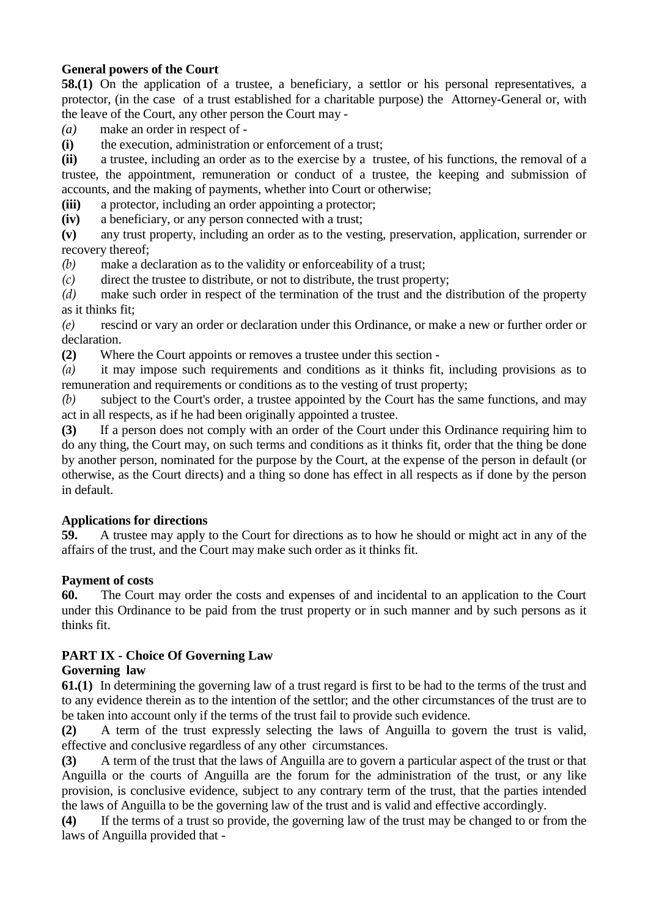# **General powers of the Court**

**58.(1)** On the application of a trustee, a beneficiary, a settlor or his personal representatives, a protector, (in the case of a trust established for a charitable purpose) the Attorney-General or, with the leave of the Court, any other person the Court may -

*(a)* make an order in respect of -

**(i)** the execution, administration or enforcement of a trust;

**(ii)** a trustee, including an order as to the exercise by a trustee, of his functions, the removal of a trustee, the appointment, remuneration or conduct of a trustee, the keeping and submission of accounts, and the making of payments, whether into Court or otherwise;

**(iii)** a protector, including an order appointing a protector;

**(iv)** a beneficiary, or any person connected with a trust;

**(v)** any trust property, including an order as to the vesting, preservation, application, surrender or recovery thereof;

(b) make a declaration as to the validity or enforceability of a trust;

(c) direct the trustee to distribute, or not to distribute, the trust property;

(d) make such order in respect of the termination of the trust and the distribution of the property as it thinks fit;

(e) rescind or vary an order or declaration under this Ordinance, or make a new or further order or declaration.

**(2)** Where the Court appoints or removes a trustee under this section -

(a) it may impose such requirements and conditions as it thinks fit, including provisions as to remuneration and requirements or conditions as to the vesting of trust property;

(b) subject to the Court's order, a trustee appointed by the Court has the same functions, and may act in all respects, as if he had been originally appointed a trustee.

**(3)** If a person does not comply with an order of the Court under this Ordinance requiring him to do any thing, the Court may, on such terms and conditions as it thinks fit, order that the thing be done by another person, nominated for the purpose by the Court, at the expense of the person in default (or otherwise, as the Court directs) and a thing so done has effect in all respects as if done by the person in default.

# **Applications for directions**

**59.** A trustee may apply to the Court for directions as to how he should or might act in any of the affairs of the trust, and the Court may make such order as it thinks fit.

#### **Payment of costs**

**60.** The Court may order the costs and expenses of and incidental to an application to the Court under this Ordinance to be paid from the trust property or in such manner and by such persons as it thinks fit.

# **PART IX - Choice Of Governing Law**

#### **Governing law**

**61.(1)** In determining the governing law of a trust regard is first to be had to the terms of the trust and to any evidence therein as to the intention of the settlor; and the other circumstances of the trust are to be taken into account only if the terms of the trust fail to provide such evidence.

**(2)** A term of the trust expressly selecting the laws of Anguilla to govern the trust is valid, effective and conclusive regardless of any other circumstances.

**(3)** A term of the trust that the laws of Anguilla are to govern a particular aspect of the trust or that Anguilla or the courts of Anguilla are the forum for the administration of the trust, or any like provision, is conclusive evidence, subject to any contrary term of the trust, that the parties intended the laws of Anguilla to be the governing law of the trust and is valid and effective accordingly.

**(4)** If the terms of a trust so provide, the governing law of the trust may be changed to or from the laws of Anguilla provided that -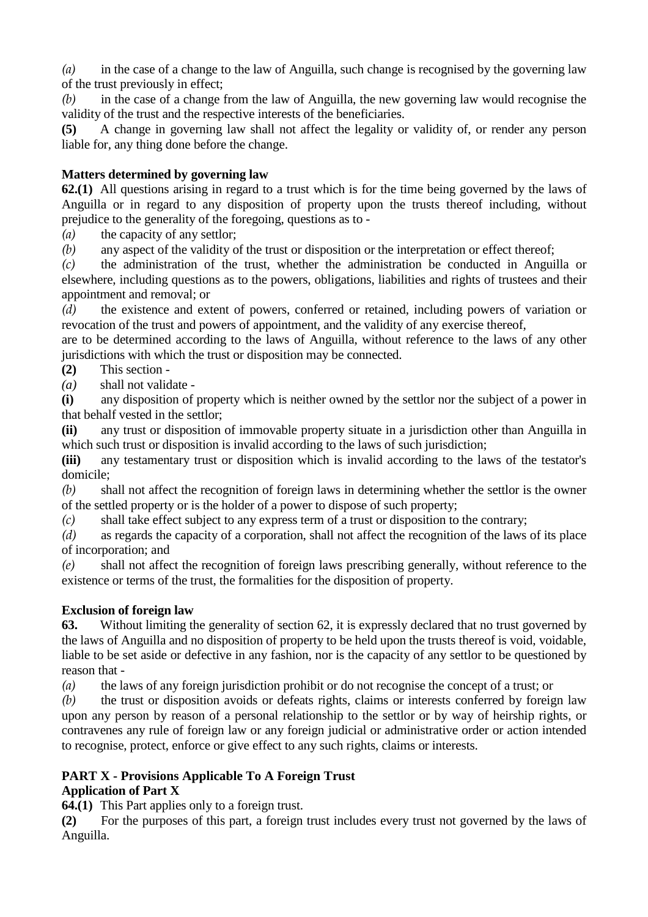(a) in the case of a change to the law of Anguilla, such change is recognised by the governing law of the trust previously in effect;

(b) in the case of a change from the law of Anguilla, the new governing law would recognise the validity of the trust and the respective interests of the beneficiaries.

**(5)** A change in governing law shall not affect the legality or validity of, or render any person liable for, any thing done before the change.

# **Matters determined by governing law**

**62.(1)** All questions arising in regard to a trust which is for the time being governed by the laws of Anguilla or in regard to any disposition of property upon the trusts thereof including, without prejudice to the generality of the foregoing, questions as to -

(a) the capacity of any settlor:

(b) any aspect of the validity of the trust or disposition or the interpretation or effect thereof;

(c) the administration of the trust, whether the administration be conducted in Anguilla or elsewhere, including questions as to the powers, obligations, liabilities and rights of trustees and their appointment and removal; or

(d) the existence and extent of powers, conferred or retained, including powers of variation or revocation of the trust and powers of appointment, and the validity of any exercise thereof,

are to be determined according to the laws of Anguilla, without reference to the laws of any other jurisdictions with which the trust or disposition may be connected.

**(2)** This section -

*(a)* shall not validate -

**(i)** any disposition of property which is neither owned by the settlor nor the subject of a power in that behalf vested in the settlor;

**(ii)** any trust or disposition of immovable property situate in a jurisdiction other than Anguilla in which such trust or disposition is invalid according to the laws of such jurisdiction;

**(iii)** any testamentary trust or disposition which is invalid according to the laws of the testator's domicile;

(b) shall not affect the recognition of foreign laws in determining whether the settlor is the owner of the settled property or is the holder of a power to dispose of such property;

(c) shall take effect subject to any express term of a trust or disposition to the contrary;

(d) as regards the capacity of a corporation, shall not affect the recognition of the laws of its place of incorporation; and

(e) shall not affect the recognition of foreign laws prescribing generally, without reference to the existence or terms of the trust, the formalities for the disposition of property.

# **Exclusion of foreign law**

**63.** Without limiting the generality of section 62, it is expressly declared that no trust governed by the laws of Anguilla and no disposition of property to be held upon the trusts thereof is void, voidable, liable to be set aside or defective in any fashion, nor is the capacity of any settlor to be questioned by reason that -

(a) the laws of any foreign jurisdiction prohibit or do not recognise the concept of a trust; or

(b) the trust or disposition avoids or defeats rights, claims or interests conferred by foreign law upon any person by reason of a personal relationship to the settlor or by way of heirship rights, or contravenes any rule of foreign law or any foreign judicial or administrative order or action intended to recognise, protect, enforce or give effect to any such rights, claims or interests.

# **PART X - Provisions Applicable To A Foreign Trust**

# **Application of Part X**

**64.(1)** This Part applies only to a foreign trust.

**(2)** For the purposes of this part, a foreign trust includes every trust not governed by the laws of Anguilla.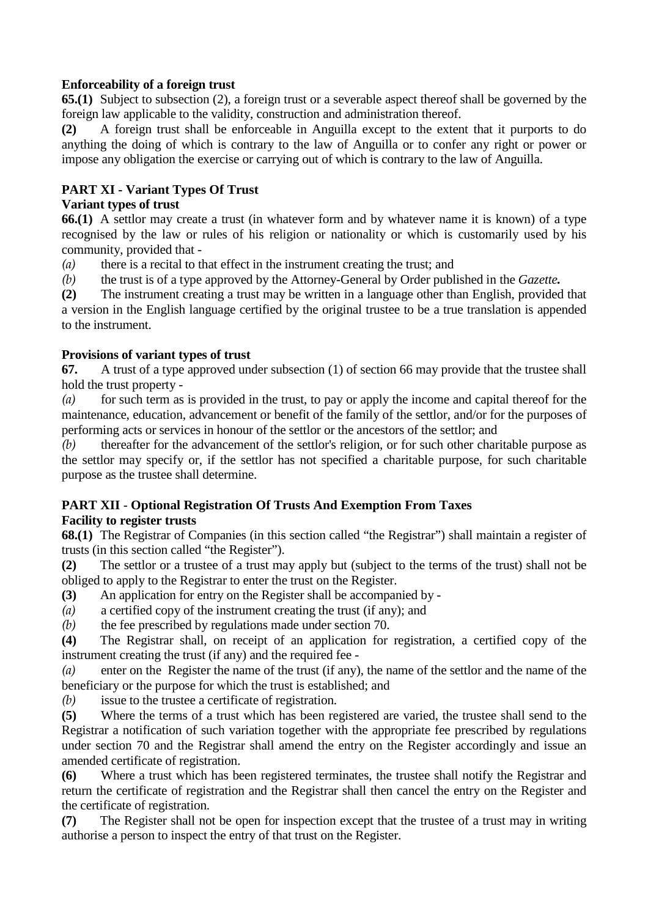# **Enforceability of a foreign trust**

**65.(1)** Subject to subsection (2), a foreign trust or a severable aspect thereof shall be governed by the foreign law applicable to the validity, construction and administration thereof.

**(2)** A foreign trust shall be enforceable in Anguilla except to the extent that it purports to do anything the doing of which is contrary to the law of Anguilla or to confer any right or power or impose any obligation the exercise or carrying out of which is contrary to the law of Anguilla.

# **PART XI - Variant Types Of Trust**

# **Variant types of trust**

**66.(1)** A settlor may create a trust (in whatever form and by whatever name it is known) of a type recognised by the law or rules of his religion or nationality or which is customarily used by his community, provided that -

(a) there is a recital to that effect in the instrument creating the trust; and

(b) the trust is of a type approved by the Attorney-General by Order published in the *Gazette.* 

**(2)** The instrument creating a trust may be written in a language other than English, provided that a version in the English language certified by the original trustee to be a true translation is appended to the instrument.

# **Provisions of variant types of trust**

**67.** A trust of a type approved under subsection (1) of section 66 may provide that the trustee shall hold the trust property -

(a) for such term as is provided in the trust, to pay or apply the income and capital thereof for the maintenance, education, advancement or benefit of the family of the settlor, and/or for the purposes of performing acts or services in honour of the settlor or the ancestors of the settlor; and

(b) thereafter for the advancement of the settlor's religion, or for such other charitable purpose as the settlor may specify or, if the settlor has not specified a charitable purpose, for such charitable purpose as the trustee shall determine.

# **PART XII** - **Optional Registration Of Trusts And Exemption From Taxes**

# **Facility to register trusts**

**68.(1)** The Registrar of Companies (in this section called "the Registrar") shall maintain a register of trusts (in this section called "the Register").

**(2)** The settlor or a trustee of a trust may apply but (subject to the terms of the trust) shall not be obliged to apply to the Registrar to enter the trust on the Register.

**(3)** An application for entry on the Register shall be accompanied by -

(a) a certified copy of the instrument creating the trust (if any); and

(b) the fee prescribed by regulations made under section 70.

**(4)** The Registrar shall, on receipt of an application for registration, a certified copy of the instrument creating the trust (if any) and the required fee -

(a) enter on the Register the name of the trust (if any), the name of the settlor and the name of the beneficiary or the purpose for which the trust is established; and

(b) issue to the trustee a certificate of registration.

**(5)** Where the terms of a trust which has been registered are varied, the trustee shall send to the Registrar a notification of such variation together with the appropriate fee prescribed by regulations under section 70 and the Registrar shall amend the entry on the Register accordingly and issue an amended certificate of registration.

**(6)** Where a trust which has been registered terminates, the trustee shall notify the Registrar and return the certificate of registration and the Registrar shall then cancel the entry on the Register and the certificate of registration.

**(7)** The Register shall not be open for inspection except that the trustee of a trust may in writing authorise a person to inspect the entry of that trust on the Register.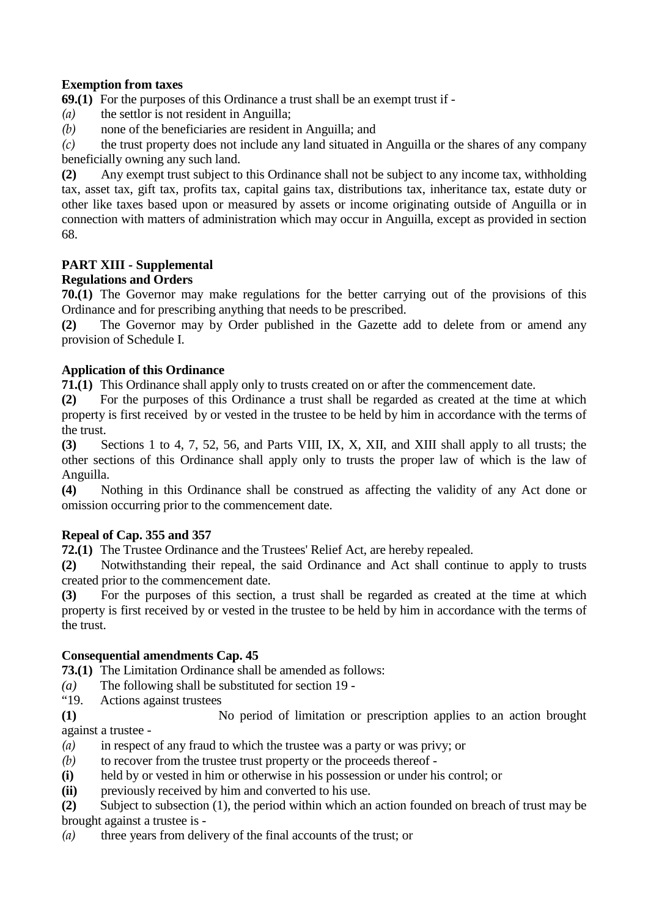# **Exemption from taxes**

**69.(1)** For the purposes of this Ordinance a trust shall be an exempt trust if -

(a) the settlor is not resident in Anguilla;

(b) none of the beneficiaries are resident in Anguilla; and

(c) the trust property does not include any land situated in Anguilla or the shares of any company beneficially owning any such land.

**(2)** Any exempt trust subject to this Ordinance shall not be subject to any income tax, withholding tax, asset tax, gift tax, profits tax, capital gains tax, distributions tax, inheritance tax, estate duty or other like taxes based upon or measured by assets or income originating outside of Anguilla or in connection with matters of administration which may occur in Anguilla, except as provided in section 68.

# **PART XIII - Supplemental**

# **Regulations and Orders**

**70.(1)** The Governor may make regulations for the better carrying out of the provisions of this Ordinance and for prescribing anything that needs to be prescribed.

**(2)** The Governor may by Order published in the Gazette add to delete from or amend any provision of Schedule I.

# **Application of this Ordinance**

**71.(1)** This Ordinance shall apply only to trusts created on or after the commencement date.

**(2)** For the purposes of this Ordinance a trust shall be regarded as created at the time at which property is first received by or vested in the trustee to be held by him in accordance with the terms of the trust.

**(3)** Sections 1 to 4, 7, 52, 56, and Parts VIII, IX, X, XII, and XIII shall apply to all trusts; the other sections of this Ordinance shall apply only to trusts the proper law of which is the law of Anguilla.

**(4)** Nothing in this Ordinance shall be construed as affecting the validity of any Act done or omission occurring prior to the commencement date.

# **Repeal of Cap. 355 and 357**

**72.(1)** The Trustee Ordinance and the Trustees' Relief Act, are hereby repealed.

**(2)** Notwithstanding their repeal, the said Ordinance and Act shall continue to apply to trusts created prior to the commencement date.

**(3)** For the purposes of this section, a trust shall be regarded as created at the time at which property is first received by or vested in the trustee to be held by him in accordance with the terms of the trust.

# **Consequential amendments Cap. 45**

**73.(1)** The Limitation Ordinance shall be amended as follows:

*(a)* The following shall be substituted for section 19 -

"19. Actions against trustees

**(1)** No period of limitation or prescription applies to an action brought against a trustee -

(a) in respect of any fraud to which the trustee was a party or was privy; or

- (b) to recover from the trustee trust property or the proceeds thereof -
- **(i)** held by or vested in him or otherwise in his possession or under his control; or
- **(ii)** previously received by him and converted to his use.
- **(2)** Subject to subsection (1), the period within which an action founded on breach of trust may be brought against a trustee is -
- (a) three years from delivery of the final accounts of the trust; or